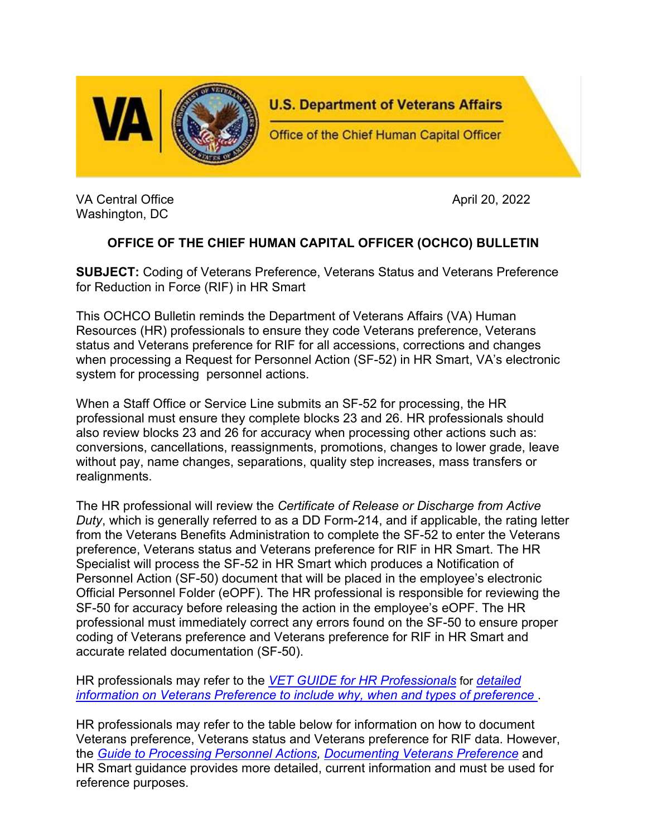

VA Central Office April 20, 2022 Washington, DC

## **OFFICE OF THE CHIEF HUMAN CAPITAL OFFICER (OCHCO) BULLETIN**

**SUBJECT:** Coding of Veterans Preference, Veterans Status and Veterans Preference for Reduction in Force (RIF) in HR Smart

This OCHCO Bulletin reminds the Department of Veterans Affairs (VA) Human Resources (HR) professionals to ensure they code Veterans preference, Veterans status and Veterans preference for RIF for all accessions, corrections and changes when processing a Request for Personnel Action (SF-52) in HR Smart, VA's electronic system for processing personnel actions.

When a Staff Office or Service Line submits an SF-52 for processing, the HR professional must ensure they complete blocks 23 and 26. HR professionals should also review blocks 23 and 26 for accuracy when processing other actions such as: conversions, cancellations, reassignments, promotions, changes to lower grade, leave without pay, name changes, separations, quality step increases, mass transfers or realignments.

The HR professional will review the *Certificate of Release or Discharge from Active Duty*, which is generally referred to as a DD Form-214, and if applicable, the rating letter from the Veterans Benefits Administration to complete the SF-52 to enter the Veterans preference, Veterans status and Veterans preference for RIF in HR Smart. The HR Specialist will process the SF-52 in HR Smart which produces a Notification of Personnel Action (SF-50) document that will be placed in the employee's electronic Official Personnel Folder (eOPF). The HR professional is responsible for reviewing the SF-50 for accuracy before releasing the action in the employee's eOPF. The HR professional must immediately correct any errors found on the SF-50 to ensure proper coding of Veterans preference and Veterans preference for RIF in HR Smart and accurate related documentation (SF-50).

HR professionals may refer to the *[VET GUIDE for HR Professionals](https://www.opm.gov/policy-data-oversight/veterans-services/vet-guide-for-hr-professionals/)* for *detailed information on Veterans Preference to include why, when and types of preference* .

HR professionals may refer to the table below for information on how to document Veterans preference, Veterans status and Veterans preference for RIF data. However, the *[Guide to Processing Personnel Actions,](https://www.opm.gov/policy-data-oversight/data-analysis-documentation/personnel-documentation/) [Documenting Veterans Preference](https://www.opm.gov/policy-data-oversight/data-analysis-documentation/personnel-documentation/processing-personnel-actions/gppa07.pdf)* and HR Smart guidance provides more detailed, current information and must be used for reference purposes.